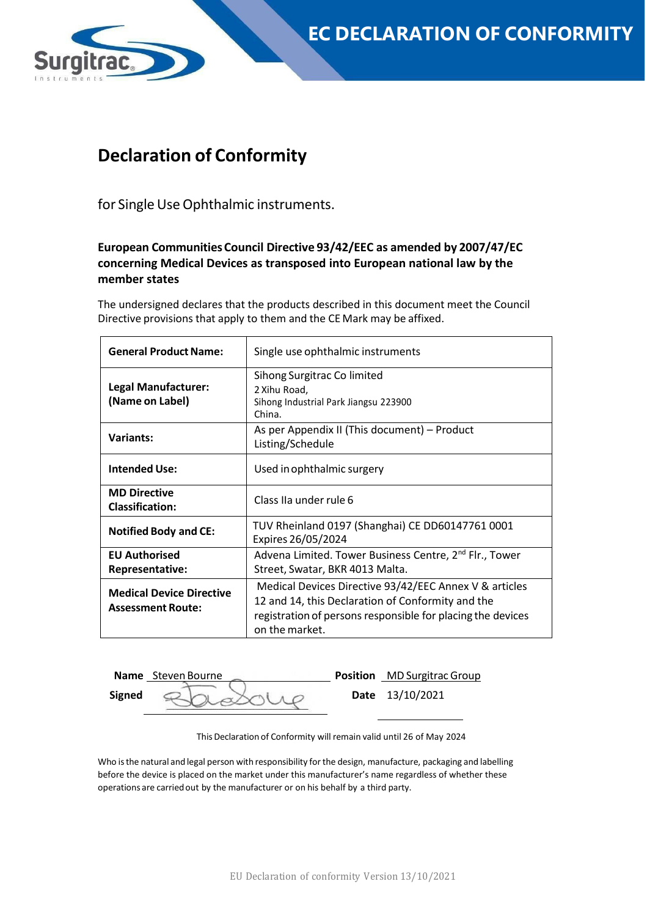

## **Declaration of Conformity**

for Single Use Ophthalmic instruments.

### **European Communities Council Directive 93/42/EEC as amended by 2007/47/EC concerning Medical Devices as transposed into European national law by the member states**

The undersigned declares that the products described in this document meet the Council Directive provisions that apply to them and the CE Mark may be affixed.

| <b>General Product Name:</b>                                | Single use ophthalmic instruments                                                                                                                                                            |  |  |
|-------------------------------------------------------------|----------------------------------------------------------------------------------------------------------------------------------------------------------------------------------------------|--|--|
| Legal Manufacturer:<br>(Name on Label)                      | Sihong Surgitrac Colimited<br>2 Xihu Road,<br>Sihong Industrial Park Jiangsu 223900<br>China.                                                                                                |  |  |
| <b>Variants:</b>                                            | As per Appendix II (This document) - Product<br>Listing/Schedule                                                                                                                             |  |  |
| <b>Intended Use:</b>                                        | Used in ophthalmic surgery                                                                                                                                                                   |  |  |
| <b>MD Directive</b><br><b>Classification:</b>               | Class IIa under rule 6                                                                                                                                                                       |  |  |
| <b>Notified Body and CE:</b>                                | TUV Rheinland 0197 (Shanghai) CE DD60147761 0001<br>Expires 26/05/2024                                                                                                                       |  |  |
| <b>EU Authorised</b><br><b>Representative:</b>              | Advena Limited. Tower Business Centre, 2 <sup>nd</sup> Flr., Tower<br>Street, Swatar, BKR 4013 Malta.                                                                                        |  |  |
| <b>Medical Device Directive</b><br><b>Assessment Route:</b> | Medical Devices Directive 93/42/EEC Annex V & articles<br>12 and 14, this Declaration of Conformity and the<br>registration of persons responsible for placing the devices<br>on the market. |  |  |

**Name** Steven Bourne **Position** MD Surgitrac Group **Signed**  $\bigotimes$  2  $\bigcap_{\Delta}$   $\bigotimes_{\Delta}$  1  $\bigotimes$  2 Date 13/10/2021

This Declaration of Conformity will remain valid until 26 of May 2024

Who isthe natural and legal person with responsibility forthe design, manufacture, packaging and labelling before the device is placed on the market under this manufacturer's name regardless of whether these operations are carriedout by the manufacturer or on his behalf by a third party.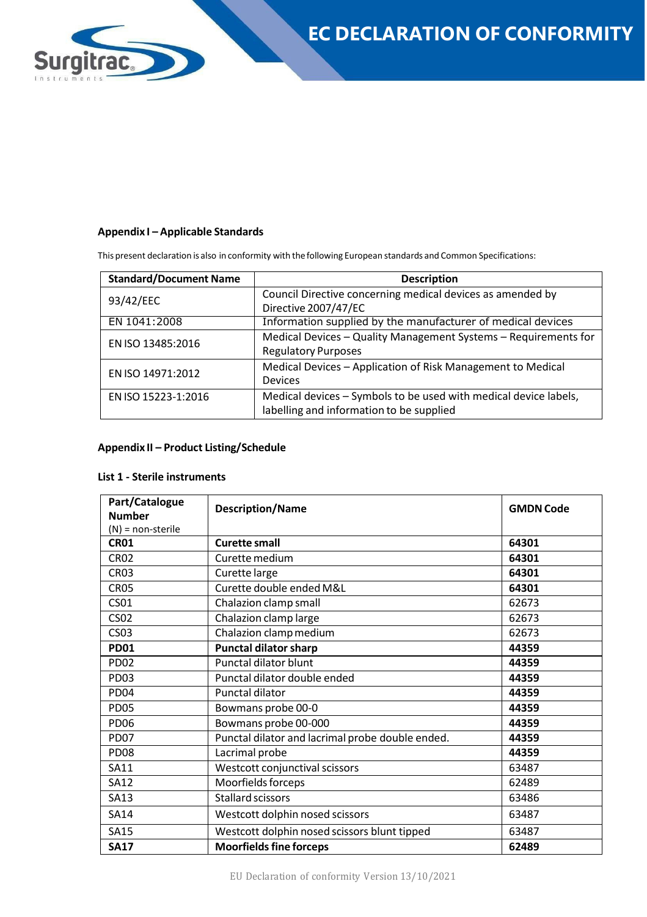

#### **Appendix I – Applicable Standards**

This present declaration is also in conformity with the following European standards and Common Specifications:

| <b>Standard/Document Name</b> | <b>Description</b>                                                                                           |  |
|-------------------------------|--------------------------------------------------------------------------------------------------------------|--|
| 93/42/EEC                     | Council Directive concerning medical devices as amended by<br>Directive 2007/47/EC                           |  |
| EN 1041:2008                  | Information supplied by the manufacturer of medical devices                                                  |  |
| EN ISO 13485:2016             | Medical Devices - Quality Management Systems - Requirements for<br><b>Regulatory Purposes</b>                |  |
| EN ISO 14971:2012             | Medical Devices - Application of Risk Management to Medical<br><b>Devices</b>                                |  |
| EN ISO 15223-1:2016           | Medical devices - Symbols to be used with medical device labels,<br>labelling and information to be supplied |  |

#### **Appendix II – Product Listing/Schedule**

#### **List 1 - Sterile instruments**

| Part/Catalogue<br><b>Number</b> | <b>Description/Name</b>                               | <b>GMDN Code</b> |
|---------------------------------|-------------------------------------------------------|------------------|
| $(N)$ = non-sterile             |                                                       |                  |
| <b>CR01</b>                     | <b>Curette small</b>                                  | 64301            |
| <b>CR02</b>                     | Curette medium                                        | 64301            |
| CR <sub>03</sub>                | Curette large                                         | 64301            |
| CR <sub>05</sub>                | Curette double ended M&L                              | 64301            |
| <b>CS01</b>                     | Chalazion clamp small                                 | 62673            |
| CS <sub>02</sub>                | Chalazion clamp large                                 | 62673            |
| <b>CS03</b>                     | Chalazion clamp medium                                | 62673            |
| <b>PD01</b>                     | <b>Punctal dilator sharp</b>                          | 44359            |
| <b>PD02</b>                     | Punctal dilator blunt                                 | 44359            |
| PD <sub>03</sub>                | Punctal dilator double ended                          | 44359            |
| PD <sub>04</sub>                | Punctal dilator                                       | 44359            |
| PD <sub>05</sub>                | Bowmans probe 00-0                                    | 44359            |
| <b>PD06</b>                     | Bowmans probe 00-000                                  | 44359            |
| PD <sub>07</sub>                | Punctal dilator and lacrimal probe double ended.      | 44359            |
| PD <sub>08</sub>                | Lacrimal probe                                        | 44359            |
| <b>SA11</b>                     | Westcott conjunctival scissors                        | 63487            |
| <b>SA12</b>                     | Moorfields forceps                                    | 62489            |
| <b>SA13</b>                     | <b>Stallard scissors</b>                              | 63486            |
| <b>SA14</b>                     | Westcott dolphin nosed scissors<br>63487              |                  |
| <b>SA15</b>                     | Westcott dolphin nosed scissors blunt tipped<br>63487 |                  |
| <b>SA17</b>                     | <b>Moorfields fine forceps</b>                        | 62489            |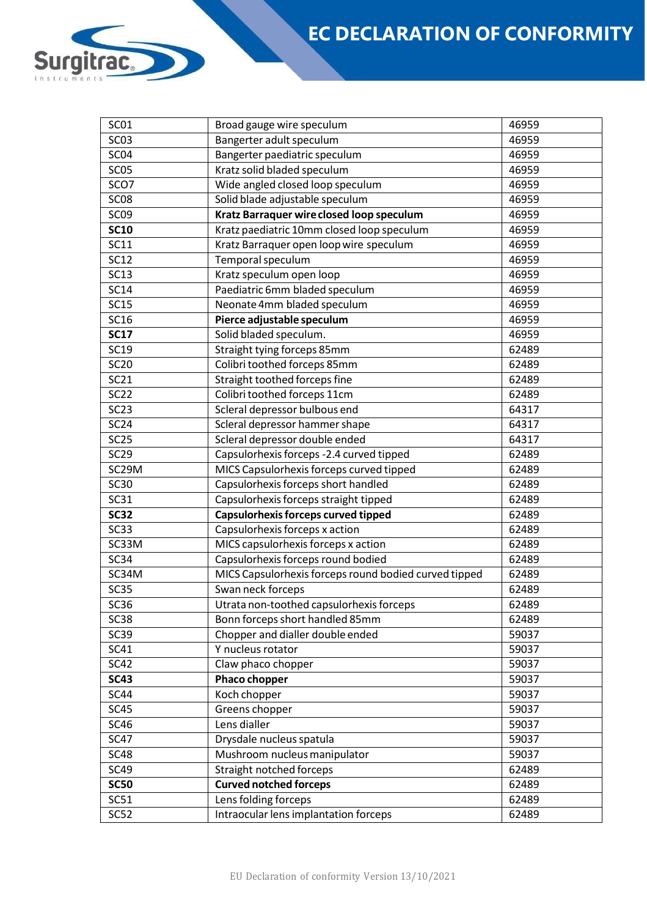# **EC DECLARATION OF CONFORMITY**

| <b>SC01</b>        | Broad gauge wire speculum<br>46959                    |       |  |  |
|--------------------|-------------------------------------------------------|-------|--|--|
| <b>SC03</b>        | Bangerter adult speculum<br>46959                     |       |  |  |
| SC <sub>04</sub>   | Bangerter paediatric speculum                         | 46959 |  |  |
| <b>SC05</b>        | Kratz solid bladed speculum                           | 46959 |  |  |
| SCO7               | Wide angled closed loop speculum<br>46959             |       |  |  |
| SC <sub>08</sub>   | Solid blade adjustable speculum<br>46959              |       |  |  |
| SC <sub>09</sub>   | Kratz Barraquer wire closed loop speculum             | 46959 |  |  |
| <b>SC10</b>        | Kratz paediatric 10mm closed loop speculum            | 46959 |  |  |
| <b>SC11</b>        | Kratz Barraquer open loop wire speculum               | 46959 |  |  |
| <b>SC12</b>        | Temporal speculum                                     | 46959 |  |  |
| <b>SC13</b>        | Kratz speculum open loop                              | 46959 |  |  |
| <b>SC14</b>        | Paediatric 6mm bladed speculum                        | 46959 |  |  |
| <b>SC15</b>        | Neonate 4mm bladed speculum                           | 46959 |  |  |
| <b>SC16</b>        | Pierce adjustable speculum                            | 46959 |  |  |
| <b>SC17</b>        | Solid bladed speculum.                                | 46959 |  |  |
| <b>SC19</b>        | Straight tying forceps 85mm                           | 62489 |  |  |
| <b>SC20</b>        | Colibri toothed forceps 85mm                          | 62489 |  |  |
| <b>SC21</b>        | Straight toothed forceps fine                         | 62489 |  |  |
| <b>SC22</b>        | Colibri toothed forceps 11cm                          | 62489 |  |  |
| <b>SC23</b>        | Scleral depressor bulbous end                         | 64317 |  |  |
| SC <sub>24</sub>   | Scleral depressor hammer shape                        | 64317 |  |  |
| <b>SC25</b>        | Scleral depressor double ended                        | 64317 |  |  |
| SC29               | Capsulorhexis forceps -2.4 curved tipped              | 62489 |  |  |
| SC <sub>29</sub> M | MICS Capsulorhexis forceps curved tipped              | 62489 |  |  |
| <b>SC30</b>        | Capsulorhexis forceps short handled                   | 62489 |  |  |
| SC31               | Capsulorhexis forceps straight tipped                 | 62489 |  |  |
| <b>SC32</b>        | Capsulorhexis forceps curved tipped                   | 62489 |  |  |
| <b>SC33</b>        | Capsulorhexis forceps x action                        | 62489 |  |  |
| SC33M              | MICS capsulorhexis forceps x action                   | 62489 |  |  |
| <b>SC34</b>        | Capsulorhexis forceps round bodied                    | 62489 |  |  |
| SC34M              | MICS Capsulorhexis forceps round bodied curved tipped | 62489 |  |  |
| <b>SC35</b>        | Swan neck forceps                                     | 62489 |  |  |
| SC36               | Utrata non-toothed capsulorhexis forceps              | 62489 |  |  |
| <b>SC38</b>        | Bonn forceps short handled 85mm                       | 62489 |  |  |
| <b>SC39</b>        | Chopper and dialler double ended                      | 59037 |  |  |
| SC41               | Y nucleus rotator                                     | 59037 |  |  |
| <b>SC42</b>        | Claw phaco chopper                                    | 59037 |  |  |
| <b>SC43</b>        | Phaco chopper                                         | 59037 |  |  |
| <b>SC44</b>        | Koch chopper                                          | 59037 |  |  |
| <b>SC45</b>        | Greens chopper                                        | 59037 |  |  |
| <b>SC46</b>        | Lens dialler                                          | 59037 |  |  |
| <b>SC47</b>        | Drysdale nucleus spatula                              | 59037 |  |  |
| <b>SC48</b>        | Mushroom nucleus manipulator                          | 59037 |  |  |
| <b>SC49</b>        | Straight notched forceps                              | 62489 |  |  |
| <b>SC50</b>        | <b>Curved notched forceps</b>                         | 62489 |  |  |
| SC51               | Lens folding forceps                                  | 62489 |  |  |
| SC52               | Intraocular lens implantation forceps                 | 62489 |  |  |

D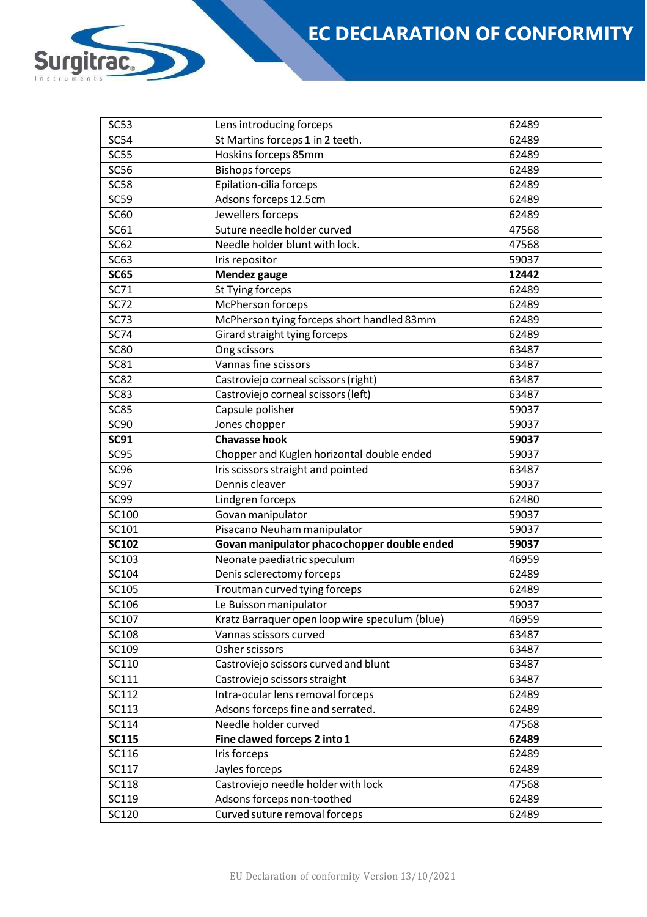

| <b>SC54</b>  | St Martins forceps 1 in 2 teeth.<br>62489             |       |  |  |
|--------------|-------------------------------------------------------|-------|--|--|
| <b>SC55</b>  | Hoskins forceps 85mm                                  | 62489 |  |  |
| <b>SC56</b>  | <b>Bishops forceps</b>                                | 62489 |  |  |
| <b>SC58</b>  | Epilation-cilia forceps                               | 62489 |  |  |
| <b>SC59</b>  | Adsons forceps 12.5cm                                 | 62489 |  |  |
| <b>SC60</b>  | Jewellers forceps                                     | 62489 |  |  |
| <b>SC61</b>  | Suture needle holder curved                           | 47568 |  |  |
| SC62         | Needle holder blunt with lock.                        | 47568 |  |  |
| <b>SC63</b>  | Iris repositor                                        | 59037 |  |  |
| <b>SC65</b>  | Mendez gauge                                          | 12442 |  |  |
| SC71         | St Tying forceps                                      | 62489 |  |  |
| <b>SC72</b>  | McPherson forceps                                     | 62489 |  |  |
| <b>SC73</b>  | McPherson tying forceps short handled 83mm            | 62489 |  |  |
| <b>SC74</b>  | Girard straight tying forceps                         | 62489 |  |  |
| <b>SC80</b>  | Ong scissors                                          | 63487 |  |  |
| <b>SC81</b>  | Vannas fine scissors                                  | 63487 |  |  |
| <b>SC82</b>  | Castroviejo corneal scissors (right)                  | 63487 |  |  |
| <b>SC83</b>  | Castroviejo corneal scissors (left)                   | 63487 |  |  |
| <b>SC85</b>  | Capsule polisher                                      | 59037 |  |  |
| <b>SC90</b>  | Jones chopper                                         | 59037 |  |  |
| <b>SC91</b>  | <b>Chavasse hook</b>                                  | 59037 |  |  |
| <b>SC95</b>  | Chopper and Kuglen horizontal double ended            | 59037 |  |  |
| <b>SC96</b>  | Iris scissors straight and pointed                    | 63487 |  |  |
| SC97         | Dennis cleaver                                        | 59037 |  |  |
| SC99         | Lindgren forceps                                      | 62480 |  |  |
| SC100        | Govan manipulator                                     | 59037 |  |  |
| SC101        | Pisacano Neuham manipulator                           | 59037 |  |  |
| <b>SC102</b> | Govan manipulator phaco chopper double ended<br>59037 |       |  |  |
| SC103        | Neonate paediatric speculum                           | 46959 |  |  |
| SC104        | Denis sclerectomy forceps                             | 62489 |  |  |
| SC105        | Troutman curved tying forceps                         | 62489 |  |  |
| SC106        | Le Buisson manipulator                                | 59037 |  |  |
| SC107        | Kratz Barraquer open loop wire speculum (blue)        | 46959 |  |  |
| <b>SC108</b> | Vannas scissors curved                                | 63487 |  |  |
| SC109        | Osher scissors                                        | 63487 |  |  |
| SC110        | Castroviejo scissors curved and blunt                 | 63487 |  |  |
| SC111        | Castroviejo scissors straight                         | 63487 |  |  |
| SC112        | Intra-ocular lens removal forceps                     | 62489 |  |  |
| SC113        | Adsons forceps fine and serrated.                     | 62489 |  |  |
| SC114        | Needle holder curved                                  | 47568 |  |  |
| <b>SC115</b> | Fine clawed forceps 2 into 1                          | 62489 |  |  |
| SC116        | Iris forceps                                          | 62489 |  |  |
| SC117        | Jayles forceps                                        | 62489 |  |  |
| <b>SC118</b> | Castroviejo needle holder with lock                   | 47568 |  |  |
| SC119        | Adsons forceps non-toothed                            | 62489 |  |  |
| SC120        | Curved suture removal forceps                         | 62489 |  |  |
|              |                                                       |       |  |  |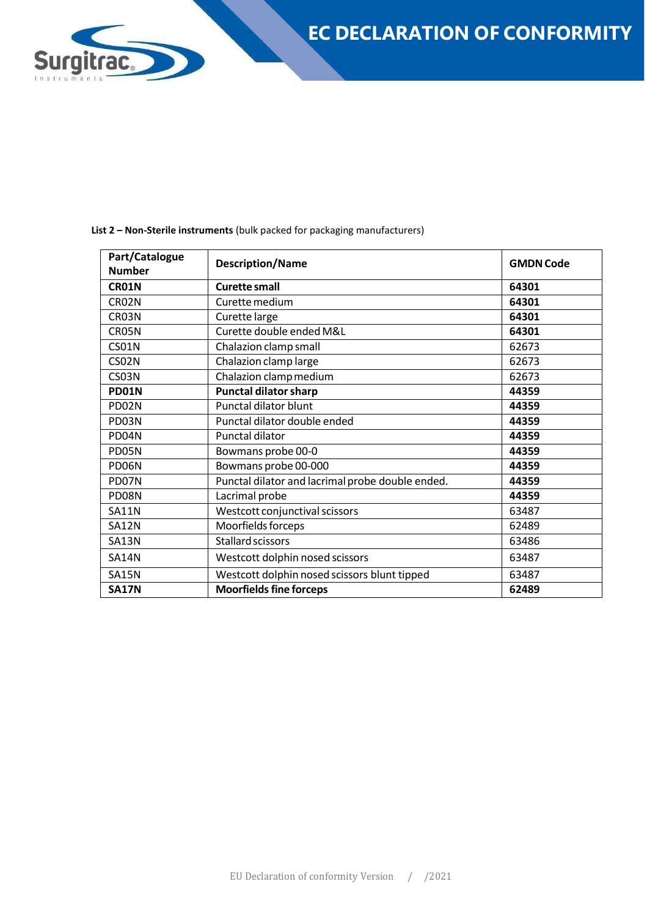

| Part/Catalogue<br><b>Number</b> | <b>Description/Name</b>                          | <b>GMDN Code</b> |  |
|---------------------------------|--------------------------------------------------|------------------|--|
| CR01N                           | <b>Curette small</b>                             | 64301            |  |
| CR <sub>02N</sub>               | Curette medium                                   | 64301            |  |
| CR03N                           | Curette large                                    | 64301            |  |
| CR05N                           | Curette double ended M&L                         | 64301            |  |
| <b>CS01N</b>                    | Chalazion clamp small                            | 62673            |  |
| CS02N                           | Chalazion clamp large                            | 62673            |  |
| CS03N                           | Chalazion clamp medium                           | 62673            |  |
| PD01N                           | <b>Punctal dilator sharp</b>                     | 44359            |  |
| PD02N                           | Punctal dilator blunt                            | 44359            |  |
| PD03N                           | Punctal dilator double ended                     | 44359            |  |
| PD04N                           | Punctal dilator                                  | 44359            |  |
| PD05N                           | Bowmans probe 00-0                               | 44359            |  |
| PD06N                           | Bowmans probe 00-000                             | 44359            |  |
| PD07N                           | Punctal dilator and lacrimal probe double ended. | 44359            |  |
| PD08N                           | Lacrimal probe                                   | 44359            |  |
| <b>SA11N</b>                    | Westcott conjunctival scissors                   | 63487            |  |
| <b>SA12N</b>                    | Moorfields forceps                               | 62489            |  |
| <b>SA13N</b>                    | Stallard scissors                                | 63486            |  |
| <b>SA14N</b>                    | Westcott dolphin nosed scissors                  | 63487            |  |
| <b>SA15N</b>                    | Westcott dolphin nosed scissors blunt tipped     | 63487            |  |
| <b>SA17N</b>                    | <b>Moorfields fine forceps</b>                   | 62489            |  |

**List 2 – Non-Sterile instruments** (bulk packed for packaging manufacturers)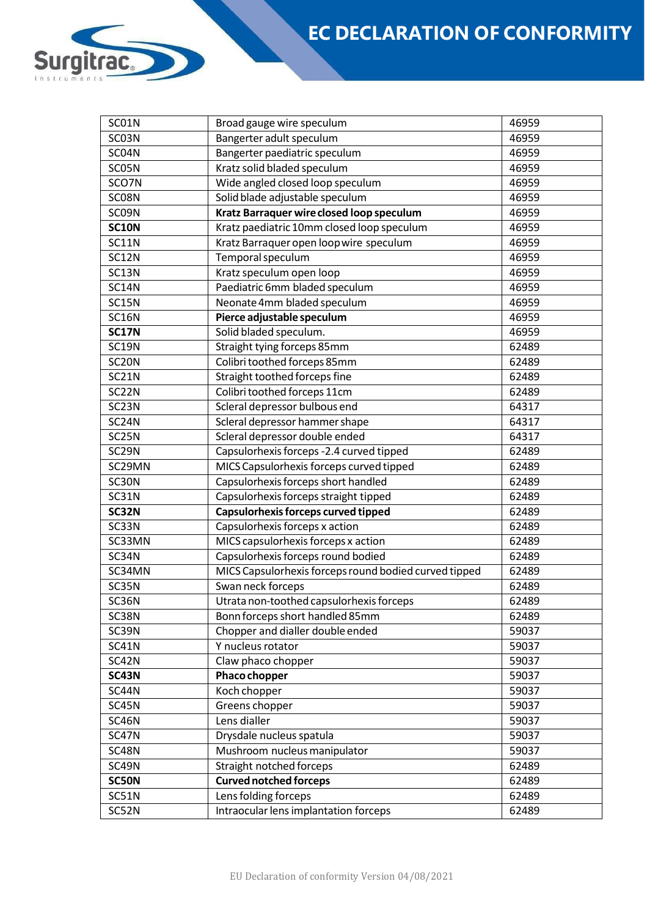# **EC DECLARATION OF CONFORMITY**

| SC01N              | Broad gauge wire speculum<br>46959                    |       |  |  |
|--------------------|-------------------------------------------------------|-------|--|--|
| SC03N              | Bangerter adult speculum<br>46959                     |       |  |  |
| SC04N              | Bangerter paediatric speculum                         | 46959 |  |  |
| SC05N              | Kratz solid bladed speculum                           | 46959 |  |  |
| SCO7N              | Wide angled closed loop speculum<br>46959             |       |  |  |
| SC08N              | Solid blade adjustable speculum<br>46959              |       |  |  |
| SC09N              | Kratz Barraquer wire closed loop speculum             | 46959 |  |  |
| <b>SC10N</b>       | Kratz paediatric 10mm closed loop speculum            | 46959 |  |  |
| <b>SC11N</b>       | Kratz Barraquer open loop wire speculum               | 46959 |  |  |
| <b>SC12N</b>       | Temporal speculum                                     | 46959 |  |  |
| SC13N              | Kratz speculum open loop                              | 46959 |  |  |
| <b>SC14N</b>       | Paediatric 6mm bladed speculum                        | 46959 |  |  |
| SC15N              | Neonate 4mm bladed speculum                           | 46959 |  |  |
| SC16N              | Pierce adjustable speculum                            | 46959 |  |  |
| <b>SC17N</b>       | Solid bladed speculum.                                | 46959 |  |  |
| <b>SC19N</b>       | Straight tying forceps 85mm                           | 62489 |  |  |
| SC <sub>2</sub> ON | Colibri toothed forceps 85mm                          | 62489 |  |  |
| SC21N              | Straight toothed forceps fine                         | 62489 |  |  |
| SC <sub>2</sub> 2N | Colibri toothed forceps 11cm                          | 62489 |  |  |
| SC <sub>23</sub> N | Scleral depressor bulbous end                         | 64317 |  |  |
| SC <sub>24</sub> N | Scleral depressor hammer shape                        | 64317 |  |  |
| SC25N              | Scleral depressor double ended                        | 64317 |  |  |
| SC <sub>29N</sub>  | Capsulorhexis forceps -2.4 curved tipped              | 62489 |  |  |
| SC29MN             | MICS Capsulorhexis forceps curved tipped              | 62489 |  |  |
| SC30N              | Capsulorhexis forceps short handled                   | 62489 |  |  |
| SC31N              | Capsulorhexis forceps straight tipped                 | 62489 |  |  |
| SC32N              | Capsulorhexis forceps curved tipped                   | 62489 |  |  |
| SC33N              | Capsulorhexis forceps x action                        | 62489 |  |  |
| SC33MN             | MICS capsulorhexis forceps x action                   | 62489 |  |  |
| SC34N              | Capsulorhexis forceps round bodied                    | 62489 |  |  |
| SC34MN             | MICS Capsulorhexis forceps round bodied curved tipped | 62489 |  |  |
| SC35N              | Swan neck forceps                                     | 62489 |  |  |
| SC36N              | Utrata non-toothed capsulorhexis forceps              | 62489 |  |  |
| SC38N              | Bonn forceps short handled 85mm                       | 62489 |  |  |
| SC39N              | Chopper and dialler double ended                      | 59037 |  |  |
| SC41N              | Y nucleus rotator                                     | 59037 |  |  |
| SC42N              | Claw phaco chopper                                    | 59037 |  |  |
| <b>SC43N</b>       | Phaco chopper                                         | 59037 |  |  |
| SC44N              | Koch chopper                                          | 59037 |  |  |
| SC45N              | Greens chopper                                        | 59037 |  |  |
| SC46N              | Lens dialler                                          | 59037 |  |  |
| SC47N              | Drysdale nucleus spatula                              | 59037 |  |  |
| SC48N              | Mushroom nucleus manipulator                          | 59037 |  |  |
| SC49N              | Straight notched forceps                              | 62489 |  |  |
| SC50N              | <b>Curved notched forceps</b>                         | 62489 |  |  |
| SC51N              | Lens folding forceps                                  | 62489 |  |  |
| SC52N              | Intraocular lens implantation forceps                 | 62489 |  |  |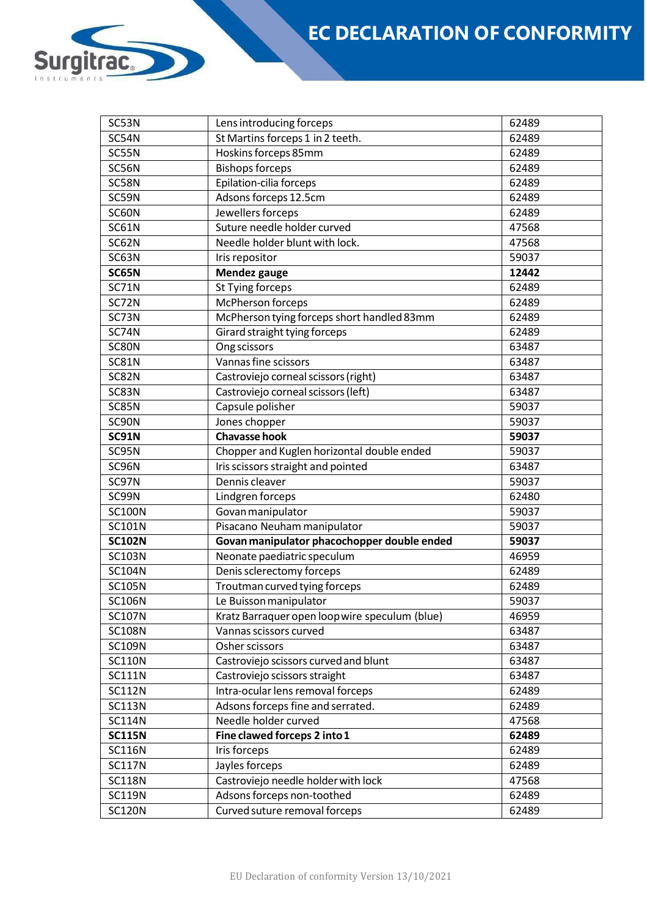

| SC53N         | Lens introducing forceps<br>62489              |       |  |
|---------------|------------------------------------------------|-------|--|
| SC54N         | St Martins forceps 1 in 2 teeth.               | 62489 |  |
| SC55N         | Hoskins forceps 85mm                           | 62489 |  |
| SC56N         | <b>Bishops forceps</b><br>62489                |       |  |
| SC58N         | Epilation-cilia forceps                        | 62489 |  |
| SC59N         | Adsons forceps 12.5cm                          | 62489 |  |
| SC60N         | Jewellers forceps                              | 62489 |  |
| <b>SC61N</b>  | Suture needle holder curved                    | 47568 |  |
| SC62N         | Needle holder blunt with lock.                 | 47568 |  |
| SC63N         | Iris repositor                                 | 59037 |  |
| SC65N         | Mendez gauge                                   | 12442 |  |
| <b>SC71N</b>  | St Tying forceps                               | 62489 |  |
| SC72N         | McPherson forceps                              | 62489 |  |
| SC73N         | McPherson tying forceps short handled 83mm     | 62489 |  |
| SC74N         | Girard straight tying forceps                  | 62489 |  |
| SC80N         | Ong scissors                                   | 63487 |  |
| <b>SC81N</b>  | Vannas fine scissors                           | 63487 |  |
| SC82N         | Castroviejo corneal scissors (right)           | 63487 |  |
| SC83N         | Castroviejo corneal scissors (left)            | 63487 |  |
| SC85N         | Capsule polisher                               | 59037 |  |
| SC90N         | Jones chopper                                  | 59037 |  |
| <b>SC91N</b>  | <b>Chavasse hook</b>                           | 59037 |  |
| SC95N         | Chopper and Kuglen horizontal double ended     | 59037 |  |
| SC96N         | Iris scissors straight and pointed             | 63487 |  |
| SC97N         | Dennis cleaver                                 | 59037 |  |
| SC99N         | Lindgren forceps                               | 62480 |  |
| <b>SC100N</b> | Govan manipulator                              | 59037 |  |
| <b>SC101N</b> | Pisacano Neuham manipulator<br>59037           |       |  |
| <b>SC102N</b> | Govan manipulator phacochopper double ended    | 59037 |  |
| <b>SC103N</b> | Neonate paediatric speculum                    | 46959 |  |
| <b>SC104N</b> | Denis sclerectomy forceps                      | 62489 |  |
| <b>SC105N</b> | Troutman curved tying forceps                  | 62489 |  |
| <b>SC106N</b> | Le Buisson manipulator                         | 59037 |  |
| <b>SC107N</b> | Kratz Barraquer open loop wire speculum (blue) | 46959 |  |
| <b>SC108N</b> | Vannas scissors curved                         | 63487 |  |
| <b>SC109N</b> | 63487<br>Osher scissors                        |       |  |
| <b>SC110N</b> | Castroviejo scissors curved and blunt          | 63487 |  |
| <b>SC111N</b> | Castroviejo scissors straight                  | 63487 |  |
| <b>SC112N</b> | Intra-ocular lens removal forceps              | 62489 |  |
| <b>SC113N</b> | Adsons forceps fine and serrated.              | 62489 |  |
| <b>SC114N</b> | Needle holder curved                           | 47568 |  |
| <b>SC115N</b> | Fine clawed forceps 2 into 1                   | 62489 |  |
| <b>SC116N</b> | Iris forceps                                   | 62489 |  |
| <b>SC117N</b> | Jayles forceps                                 | 62489 |  |
| <b>SC118N</b> | Castroviejo needle holder with lock            | 47568 |  |
| <b>SC119N</b> | Adsons forceps non-toothed<br>62489            |       |  |
| <b>SC120N</b> | Curved suture removal forceps                  | 62489 |  |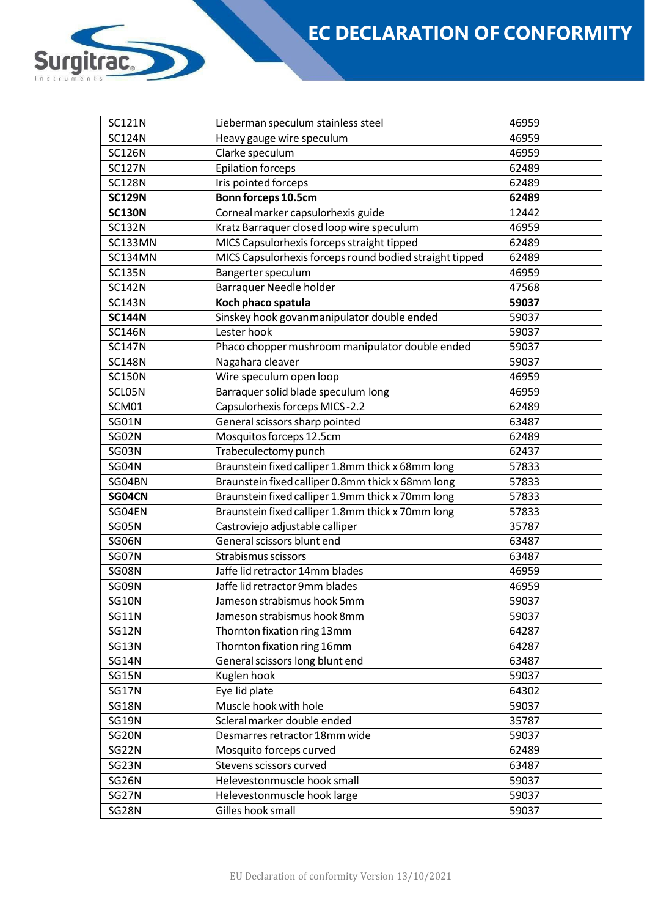| <b>SC121N</b>  | 46959<br>Lieberman speculum stainless steel                |       |  |  |
|----------------|------------------------------------------------------------|-------|--|--|
| <b>SC124N</b>  | Heavy gauge wire speculum<br>46959                         |       |  |  |
| <b>SC126N</b>  | Clarke speculum                                            | 46959 |  |  |
| <b>SC127N</b>  | <b>Epilation forceps</b>                                   | 62489 |  |  |
| <b>SC128N</b>  | Iris pointed forceps<br>62489                              |       |  |  |
| <b>SC129N</b>  | Bonn forceps 10.5cm<br>62489                               |       |  |  |
| <b>SC130N</b>  | Corneal marker capsulorhexis guide                         | 12442 |  |  |
| <b>SC132N</b>  | Kratz Barraquer closed loop wire speculum                  | 46959 |  |  |
| SC133MN        | MICS Capsulorhexis forceps straight tipped                 | 62489 |  |  |
| <b>SC134MN</b> | MICS Capsulorhexis forceps round bodied straight tipped    | 62489 |  |  |
| <b>SC135N</b>  | Bangerter speculum                                         | 46959 |  |  |
| <b>SC142N</b>  | Barraquer Needle holder                                    | 47568 |  |  |
| <b>SC143N</b>  | Koch phaco spatula                                         | 59037 |  |  |
| <b>SC144N</b>  | Sinskey hook govan manipulator double ended                | 59037 |  |  |
| <b>SC146N</b>  | Lester hook                                                | 59037 |  |  |
| <b>SC147N</b>  | Phaco chopper mushroom manipulator double ended            | 59037 |  |  |
| <b>SC148N</b>  | Nagahara cleaver                                           | 59037 |  |  |
| <b>SC150N</b>  | Wire speculum open loop                                    | 46959 |  |  |
| SCL05N         | Barraquer solid blade speculum long                        | 46959 |  |  |
| SCM01          | Capsulorhexis forceps MICS-2.2                             | 62489 |  |  |
| SG01N          | General scissors sharp pointed                             | 63487 |  |  |
| SG02N          | Mosquitos forceps 12.5cm                                   | 62489 |  |  |
| SG03N          | Trabeculectomy punch                                       | 62437 |  |  |
| SG04N          | Braunstein fixed calliper 1.8mm thick x 68mm long<br>57833 |       |  |  |
| SG04BN         | Braunstein fixed calliper 0.8mm thick x 68mm long          | 57833 |  |  |
| SG04CN         | Braunstein fixed calliper 1.9mm thick x 70mm long          | 57833 |  |  |
| SG04EN         | Braunstein fixed calliper 1.8mm thick x 70mm long          | 57833 |  |  |
| SG05N          | Castroviejo adjustable calliper                            | 35787 |  |  |
| SG06N          | General scissors blunt end                                 | 63487 |  |  |
| SG07N          | Strabismus scissors                                        | 63487 |  |  |
| SG08N          | Jaffe lid retractor 14mm blades                            | 46959 |  |  |
| SG09N          | Jaffe lid retractor 9mm blades                             | 46959 |  |  |
| <b>SG10N</b>   | Jameson strabismus hook 5mm                                | 59037 |  |  |
| <b>SG11N</b>   | Jameson strabismus hook 8mm                                | 59037 |  |  |
| <b>SG12N</b>   | Thornton fixation ring 13mm                                | 64287 |  |  |
| <b>SG13N</b>   | Thornton fixation ring 16mm<br>64287                       |       |  |  |
| <b>SG14N</b>   | General scissors long blunt end                            | 63487 |  |  |
| SG15N          | Kuglen hook                                                | 59037 |  |  |
| <b>SG17N</b>   | Eye lid plate<br>64302                                     |       |  |  |
| <b>SG18N</b>   | Muscle hook with hole                                      | 59037 |  |  |
| <b>SG19N</b>   | Scleral marker double ended<br>35787                       |       |  |  |
| SG20N          | Desmarres retractor 18mm wide                              | 59037 |  |  |
| SG22N          | Mosquito forceps curved                                    | 62489 |  |  |
| SG23N          | Stevens scissors curved                                    | 63487 |  |  |
| SG26N          | Helevestonmuscle hook small<br>59037                       |       |  |  |
| SG27N          | Helevestonmuscle hook large<br>59037                       |       |  |  |
| <b>SG28N</b>   | Gilles hook small<br>59037                                 |       |  |  |

D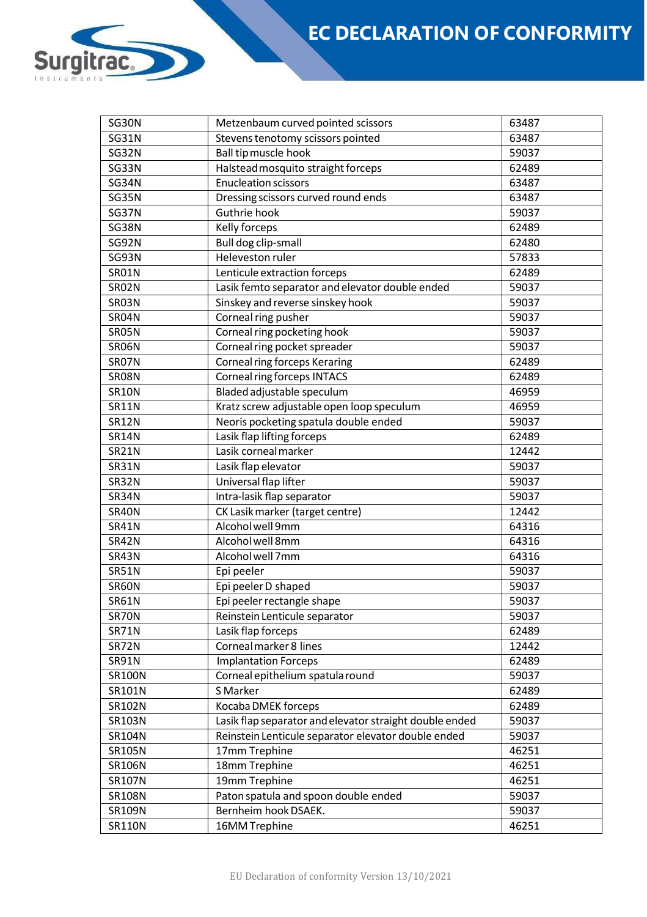| SG30N         | Metzenbaum curved pointed scissors                      | 63487 |  |  |
|---------------|---------------------------------------------------------|-------|--|--|
| <b>SG31N</b>  | Stevens tenotomy scissors pointed                       | 63487 |  |  |
| SG32N         | Ball tip muscle hook<br>59037                           |       |  |  |
| SG33N         | Halstead mosquito straight forceps<br>62489             |       |  |  |
| SG34N         | <b>Enucleation scissors</b><br>63487                    |       |  |  |
| SG35N         | Dressing scissors curved round ends<br>63487            |       |  |  |
| SG37N         | Guthrie hook<br>59037                                   |       |  |  |
| SG38N         | Kelly forceps                                           | 62489 |  |  |
| SG92N         | Bull dog clip-small                                     | 62480 |  |  |
| SG93N         | Heleveston ruler                                        | 57833 |  |  |
| SR01N         | Lenticule extraction forceps                            | 62489 |  |  |
| SR02N         | Lasik femto separator and elevator double ended         | 59037 |  |  |
| SR03N         | Sinskey and reverse sinskey hook                        | 59037 |  |  |
| SR04N         | Corneal ring pusher                                     | 59037 |  |  |
| SR05N         | Corneal ring pocketing hook                             | 59037 |  |  |
| SR06N         | Corneal ring pocket spreader                            | 59037 |  |  |
| SR07N         | <b>Corneal ring forceps Keraring</b>                    | 62489 |  |  |
| SR08N         | <b>Corneal ring forceps INTACS</b>                      | 62489 |  |  |
| <b>SR10N</b>  | Bladed adjustable speculum                              | 46959 |  |  |
| <b>SR11N</b>  | Kratz screw adjustable open loop speculum               | 46959 |  |  |
| <b>SR12N</b>  | Neoris pocketing spatula double ended                   | 59037 |  |  |
| <b>SR14N</b>  | Lasik flap lifting forceps                              | 62489 |  |  |
| <b>SR21N</b>  | Lasik corneal marker                                    | 12442 |  |  |
| <b>SR31N</b>  | Lasik flap elevator                                     | 59037 |  |  |
| SR32N         | Universal flap lifter                                   | 59037 |  |  |
| SR34N         | Intra-lasik flap separator                              | 59037 |  |  |
| SR40N         | CK Lasik marker (target centre)                         | 12442 |  |  |
| <b>SR41N</b>  | Alcohol well 9mm                                        | 64316 |  |  |
| SR42N         | Alcohol well 8mm                                        | 64316 |  |  |
| SR43N         | Alcohol well 7mm                                        | 64316 |  |  |
| <b>SR51N</b>  | Epi peeler                                              | 59037 |  |  |
| SR60N         | Epi peeler D shaped                                     | 59037 |  |  |
| <b>SR61N</b>  | Epi peeler rectangle shape                              | 59037 |  |  |
| SR70N         | Reinstein Lenticule separator                           | 59037 |  |  |
| <b>SR71N</b>  | Lasik flap forceps                                      | 62489 |  |  |
| SR72N         | Corneal marker 8 lines                                  | 12442 |  |  |
| <b>SR91N</b>  | <b>Implantation Forceps</b>                             | 62489 |  |  |
| <b>SR100N</b> | Corneal epithelium spatula round                        | 59037 |  |  |
| SR101N        | S Marker                                                | 62489 |  |  |
| SR102N        | Kocaba DMEK forceps                                     | 62489 |  |  |
| SR103N        | Lasik flap separator and elevator straight double ended | 59037 |  |  |
| SR104N        | Reinstein Lenticule separator elevator double ended     | 59037 |  |  |
| SR105N        | 17mm Trephine                                           | 46251 |  |  |
| <b>SR106N</b> | 18mm Trephine                                           | 46251 |  |  |
| SR107N        | 19mm Trephine                                           | 46251 |  |  |
| <b>SR108N</b> |                                                         |       |  |  |
|               | Paton spatula and spoon double ended<br>59037           |       |  |  |
| SR109N        | Bernheim hook DSAEK.<br>59037                           |       |  |  |
| <b>SR110N</b> | 16MM Trephine                                           | 46251 |  |  |

D